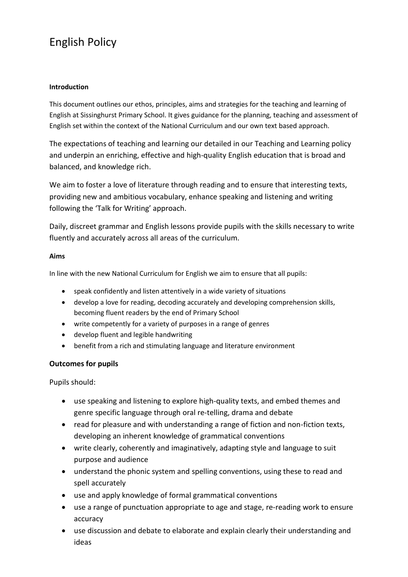# English Policy

## **Introduction**

This document outlines our ethos, principles, aims and strategies for the teaching and learning of English at Sissinghurst Primary School. It gives guidance for the planning, teaching and assessment of English set within the context of the National Curriculum and our own text based approach.

The expectations of teaching and learning our detailed in our Teaching and Learning policy and underpin an enriching, effective and high-quality English education that is broad and balanced, and knowledge rich.

We aim to foster a love of literature through reading and to ensure that interesting texts, providing new and ambitious vocabulary, enhance speaking and listening and writing following the 'Talk for Writing' approach.

Daily, discreet grammar and English lessons provide pupils with the skills necessary to write fluently and accurately across all areas of the curriculum.

## **Aims**

In line with the new National Curriculum for English we aim to ensure that all pupils:

- speak confidently and listen attentively in a wide variety of situations
- develop a love for reading, decoding accurately and developing comprehension skills, becoming fluent readers by the end of Primary School
- write competently for a variety of purposes in a range of genres
- develop fluent and legible handwriting
- benefit from a rich and stimulating language and literature environment

## **Outcomes for pupils**

Pupils should:

- use speaking and listening to explore high-quality texts, and embed themes and genre specific language through oral re-telling, drama and debate
- read for pleasure and with understanding a range of fiction and non-fiction texts, developing an inherent knowledge of grammatical conventions
- write clearly, coherently and imaginatively, adapting style and language to suit purpose and audience
- understand the phonic system and spelling conventions, using these to read and spell accurately
- use and apply knowledge of formal grammatical conventions
- use a range of punctuation appropriate to age and stage, re-reading work to ensure accuracy
- use discussion and debate to elaborate and explain clearly their understanding and ideas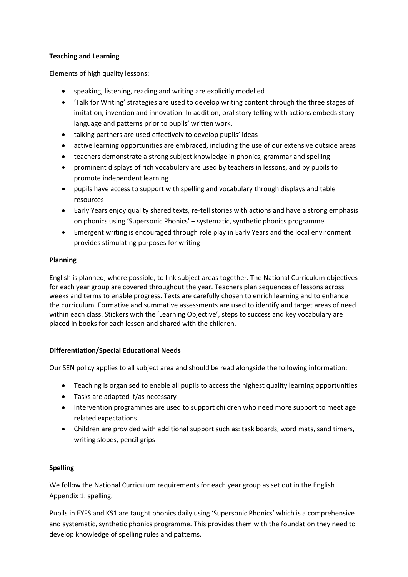## **Teaching and Learning**

Elements of high quality lessons:

- speaking, listening, reading and writing are explicitly modelled
- 'Talk for Writing' strategies are used to develop writing content through the three stages of: imitation, invention and innovation. In addition, oral story telling with actions embeds story language and patterns prior to pupils' written work.
- talking partners are used effectively to develop pupils' ideas
- active learning opportunities are embraced, including the use of our extensive outside areas
- teachers demonstrate a strong subject knowledge in phonics, grammar and spelling
- prominent displays of rich vocabulary are used by teachers in lessons, and by pupils to promote independent learning
- pupils have access to support with spelling and vocabulary through displays and table resources
- Early Years enjoy quality shared texts, re-tell stories with actions and have a strong emphasis on phonics using 'Supersonic Phonics' – systematic, synthetic phonics programme
- Emergent writing is encouraged through role play in Early Years and the local environment provides stimulating purposes for writing

## **Planning**

English is planned, where possible, to link subject areas together. The National Curriculum objectives for each year group are covered throughout the year. Teachers plan sequences of lessons across weeks and terms to enable progress. Texts are carefully chosen to enrich learning and to enhance the curriculum. Formative and summative assessments are used to identify and target areas of need within each class. Stickers with the 'Learning Objective', steps to success and key vocabulary are placed in books for each lesson and shared with the children.

## **Differentiation/Special Educational Needs**

Our SEN policy applies to all subject area and should be read alongside the following information:

- Teaching is organised to enable all pupils to access the highest quality learning opportunities
- Tasks are adapted if/as necessary
- Intervention programmes are used to support children who need more support to meet age related expectations
- Children are provided with additional support such as: task boards, word mats, sand timers, writing slopes, pencil grips

## **Spelling**

We follow the National Curriculum requirements for each year group as set out in the English Appendix 1: spelling.

Pupils in EYFS and KS1 are taught phonics daily using 'Supersonic Phonics' which is a comprehensive and systematic, synthetic phonics programme. This provides them with the foundation they need to develop knowledge of spelling rules and patterns.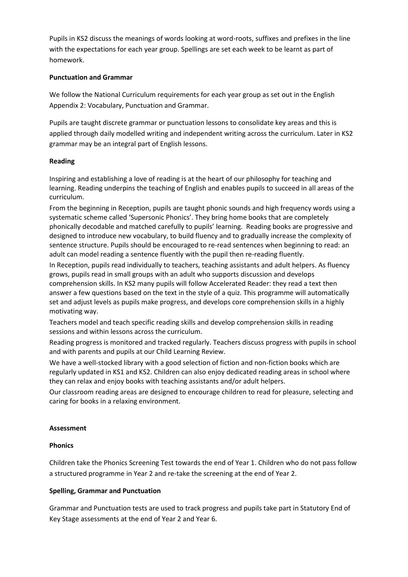Pupils in KS2 discuss the meanings of words looking at word-roots, suffixes and prefixes in the line with the expectations for each year group. Spellings are set each week to be learnt as part of homework.

#### **Punctuation and Grammar**

We follow the National Curriculum requirements for each year group as set out in the English Appendix 2: Vocabulary, Punctuation and Grammar.

Pupils are taught discrete grammar or punctuation lessons to consolidate key areas and this is applied through daily modelled writing and independent writing across the curriculum. Later in KS2 grammar may be an integral part of English lessons.

#### **Reading**

Inspiring and establishing a love of reading is at the heart of our philosophy for teaching and learning. Reading underpins the teaching of English and enables pupils to succeed in all areas of the curriculum.

From the beginning in Reception, pupils are taught phonic sounds and high frequency words using a systematic scheme called 'Supersonic Phonics'. They bring home books that are completely phonically decodable and matched carefully to pupils' learning. Reading books are progressive and designed to introduce new vocabulary, to build fluency and to gradually increase the complexity of sentence structure. Pupils should be encouraged to re-read sentences when beginning to read: an adult can model reading a sentence fluently with the pupil then re-reading fluently.

In Reception, pupils read individually to teachers, teaching assistants and adult helpers. As fluency grows, pupils read in small groups with an adult who supports discussion and develops comprehension skills. In KS2 many pupils will follow Accelerated Reader: they read a text then answer a few questions based on the text in the style of a quiz. This programme will automatically set and adjust levels as pupils make progress, and develops core comprehension skills in a highly motivating way.

Teachers model and teach specific reading skills and develop comprehension skills in reading sessions and within lessons across the curriculum.

Reading progress is monitored and tracked regularly. Teachers discuss progress with pupils in school and with parents and pupils at our Child Learning Review.

We have a well-stocked library with a good selection of fiction and non-fiction books which are regularly updated in KS1 and KS2. Children can also enjoy dedicated reading areas in school where they can relax and enjoy books with teaching assistants and/or adult helpers.

Our classroom reading areas are designed to encourage children to read for pleasure, selecting and caring for books in a relaxing environment.

#### **Assessment**

#### **Phonics**

Children take the Phonics Screening Test towards the end of Year 1. Children who do not pass follow a structured programme in Year 2 and re-take the screening at the end of Year 2.

## **Spelling, Grammar and Punctuation**

Grammar and Punctuation tests are used to track progress and pupils take part in Statutory End of Key Stage assessments at the end of Year 2 and Year 6.